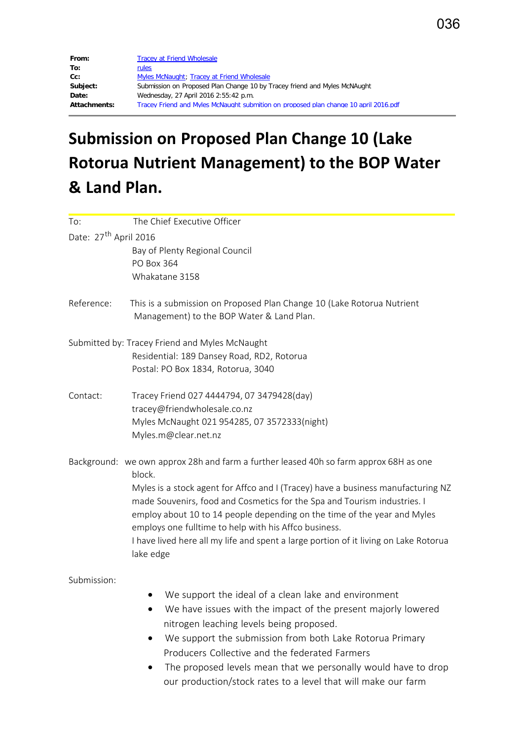| To:                 | <u>rules</u>                                                                         |
|---------------------|--------------------------------------------------------------------------------------|
| $Cc$ :              | Myles McNaught; Tracey at Friend Wholesale                                           |
| Subject:            | Submission on Proposed Plan Change 10 by Tracey friend and Myles McNAught            |
| Date:               | Wednesday, 27 April 2016 2:55:42 p.m.                                                |
| <b>Attachments:</b> | Tracey Friend and Myles McNaught submition on proposed plan change 10 april 2016.pdf |

# **Submission on Proposed Plan Change 10 (Lake Rotorua Nutrient Management) to the BOP Water & Land Plan.**

| To:                                                                                             | The Chief Executive Officer                                                                                         |
|-------------------------------------------------------------------------------------------------|---------------------------------------------------------------------------------------------------------------------|
| Date: 27 <sup>th</sup> April 2016                                                               |                                                                                                                     |
|                                                                                                 | Bay of Plenty Regional Council                                                                                      |
|                                                                                                 | <b>PO Box 364</b>                                                                                                   |
|                                                                                                 | Whakatane 3158                                                                                                      |
| Reference:                                                                                      | This is a submission on Proposed Plan Change 10 (Lake Rotorua Nutrient<br>Management) to the BOP Water & Land Plan. |
|                                                                                                 | Submitted by: Tracey Friend and Myles McNaught                                                                      |
|                                                                                                 | Residential: 189 Dansey Road, RD2, Rotorua                                                                          |
|                                                                                                 | Postal: PO Box 1834, Rotorua, 3040                                                                                  |
| Contact:                                                                                        | Tracey Friend 027 4444794, 07 3479428(day)                                                                          |
|                                                                                                 | tracey@friendwholesale.co.nz                                                                                        |
|                                                                                                 | Myles McNaught 021 954285, 07 3572333(night)                                                                        |
|                                                                                                 | Myles.m@clear.net.nz                                                                                                |
| Background: we own approx 28h and farm a further leased 40h so farm approx 68H as one<br>block. |                                                                                                                     |
|                                                                                                 | Myles is a stock agent for Affco and I (Tracey) have a business manufacturing NZ                                    |
|                                                                                                 | made Souvenirs, food and Cosmetics for the Spa and Tourism industries. I                                            |
|                                                                                                 | employ about 10 to 14 people depending on the time of the year and Myles                                            |
|                                                                                                 | employs one fulltime to help with his Affco business.                                                               |
|                                                                                                 | I have lived here all my life and spent a large portion of it living on Lake Rotorua<br>lake edge                   |
| Submission:                                                                                     |                                                                                                                     |
|                                                                                                 | We support the ideal of a clean lake and environment<br>$\bullet$                                                   |
|                                                                                                 | We have issues with the impact of the present majorly lowered                                                       |
|                                                                                                 | nitrogen leaching levels being proposed.                                                                            |
|                                                                                                 | We support the submission from both Lake Rotorua Primary                                                            |
|                                                                                                 | Producers Collective and the federated Farmers                                                                      |
|                                                                                                 |                                                                                                                     |
|                                                                                                 | The proposed levels mean that we personally would have to drop                                                      |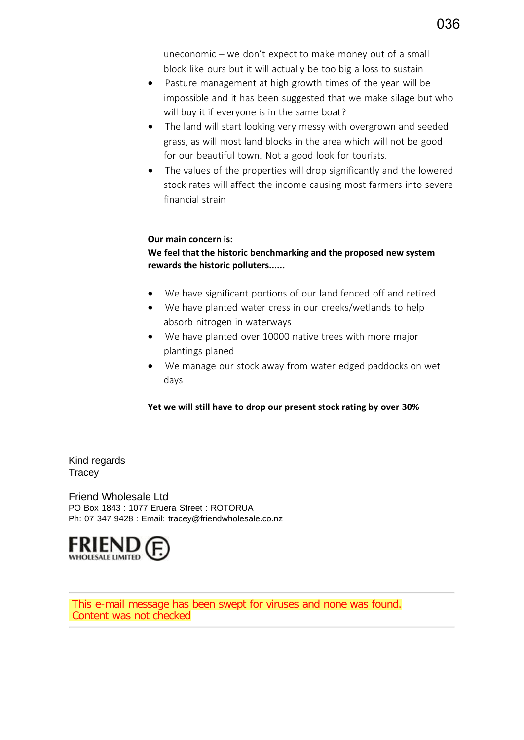uneconomic – we don't expect to make money out of a small block like ours but it will actually be too big a loss to sustain

- · Pasture management at high growth times of the year will be impossible and it has been suggested that we make silage but who will buy it if everyone is in the same boat?
- · The land will start looking very messy with overgrown and seeded grass, as will most land blocks in the area which will not be good for our beautiful town. Not a good look for tourists.
- · The values of the properties will drop significantly and the lowered stock rates will affect the income causing most farmers into severe financial strain

#### **Our main concern is:**

**We feel that the historic benchmarking and the proposed new system rewards the historic polluters......**

- We have significant portions of our land fenced off and retired
- · We have planted water cress in our creeks/wetlands to help absorb nitrogen in waterways
- · We have planted over 10000 native trees with more major plantings planed
- · We manage our stock away from water edged paddocks on wet days

#### **Yet we will still have to drop our present stock rating by over 30%**

Kind regards **Tracey** 

Friend Wholesale Ltd PO Box 1843 : 1077 Eruera Street : ROTORUA Ph: 07 347 9428 : Email: tracey@friendwholesale.co.nz



This e-mail message has been swept for viruses and none was found. Content was not checked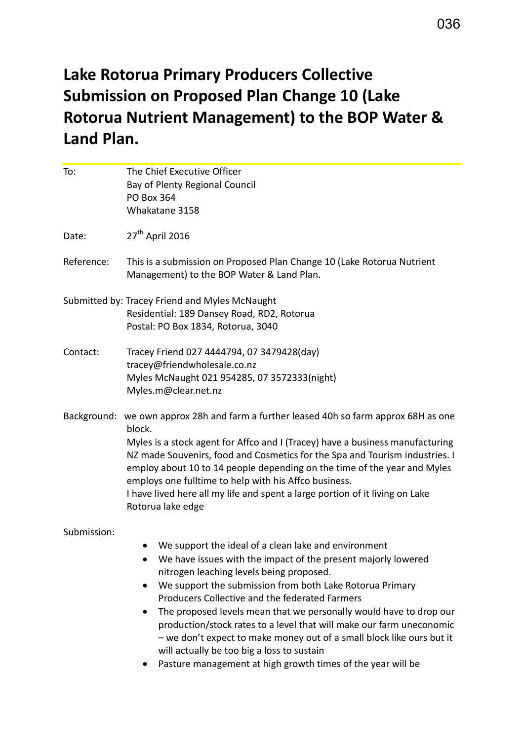### **Lake Rotorua Primary Producers Collective Submission on Proposed Plan Change 10 (Lake Rotorua Nutrient Management) to the BOP Water & Land Plan.**

| To:         | The Chief Executive Officer<br>Bay of Plenty Regional Council<br><b>PO Box 364</b><br>Whakatane 3158                                                                                                                                                                                                                                                                                                                                                                                                                                                                                                                     |
|-------------|--------------------------------------------------------------------------------------------------------------------------------------------------------------------------------------------------------------------------------------------------------------------------------------------------------------------------------------------------------------------------------------------------------------------------------------------------------------------------------------------------------------------------------------------------------------------------------------------------------------------------|
| Date:       | 27 <sup>th</sup> April 2016                                                                                                                                                                                                                                                                                                                                                                                                                                                                                                                                                                                              |
| Reference:  | This is a submission on Proposed Plan Change 10 (Lake Rotorua Nutrient<br>Management) to the BOP Water & Land Plan.                                                                                                                                                                                                                                                                                                                                                                                                                                                                                                      |
|             | Submitted by: Tracey Friend and Myles McNaught<br>Residential: 189 Dansey Road, RD2, Rotorua<br>Postal: PO Box 1834, Rotorua, 3040                                                                                                                                                                                                                                                                                                                                                                                                                                                                                       |
| Contact:    | Tracey Friend 027 4444794, 07 3479428(day)<br>tracey@friendwholesale.co.nz<br>Myles McNaught 021 954285, 07 3572333(night)<br>Myles.m@clear.net.nz                                                                                                                                                                                                                                                                                                                                                                                                                                                                       |
|             | Background: we own approx 28h and farm a further leased 40h so farm approx 68H as one<br>block.<br>Myles is a stock agent for Affco and I (Tracey) have a business manufacturing<br>NZ made Souvenirs, food and Cosmetics for the Spa and Tourism industries. I<br>employ about 10 to 14 people depending on the time of the year and Myles<br>employs one fulltime to help with his Affco business.<br>I have lived here all my life and spent a large portion of it living on Lake<br>Rotorua lake edge                                                                                                                |
| Submission: | We support the ideal of a clean lake and environment<br>We have issues with the impact of the present majorly lowered<br>nitrogen leaching levels being proposed.<br>We support the submission from both Lake Rotorua Primary<br>Producers Collective and the federated Farmers<br>The proposed levels mean that we personally would have to drop our<br>٠<br>production/stock rates to a level that will make our farm uneconomic<br>- we don't expect to make money out of a small block like ours but it<br>will actually be too big a loss to sustain<br>Pasture management at high growth times of the year will be |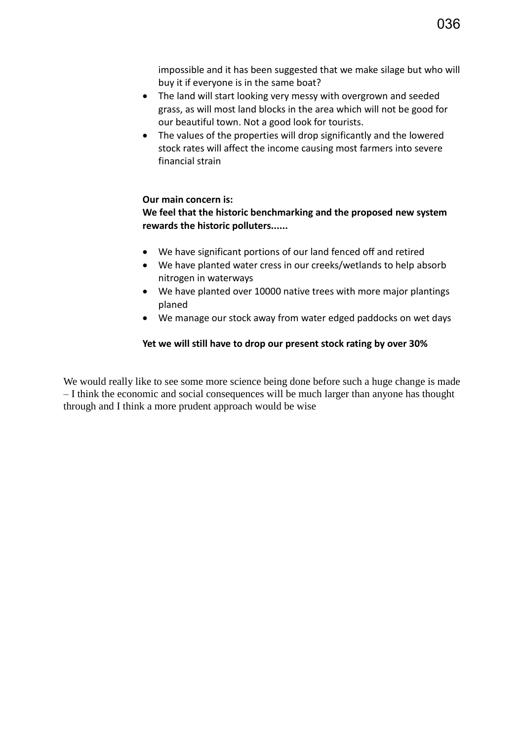impossible and it has been suggested that we make silage but who will buy it if everyone is in the same boat?

- The land will start looking very messy with overgrown and seeded grass, as will most land blocks in the area which will not be good for our beautiful town. Not a good look for tourists.
- The values of the properties will drop significantly and the lowered stock rates will affect the income causing most farmers into severe financial strain

#### **Our main concern is:**

**We feel that the historic benchmarking and the proposed new system rewards the historic polluters......** 

- We have significant portions of our land fenced off and retired
- We have planted water cress in our creeks/wetlands to help absorb nitrogen in waterways
- We have planted over 10000 native trees with more major plantings planed
- We manage our stock away from water edged paddocks on wet days

#### **Yet we will still have to drop our present stock rating by over 30%**

We would really like to see some more science being done before such a huge change is made – I think the economic and social consequences will be much larger than anyone has thought through and I think a more prudent approach would be wise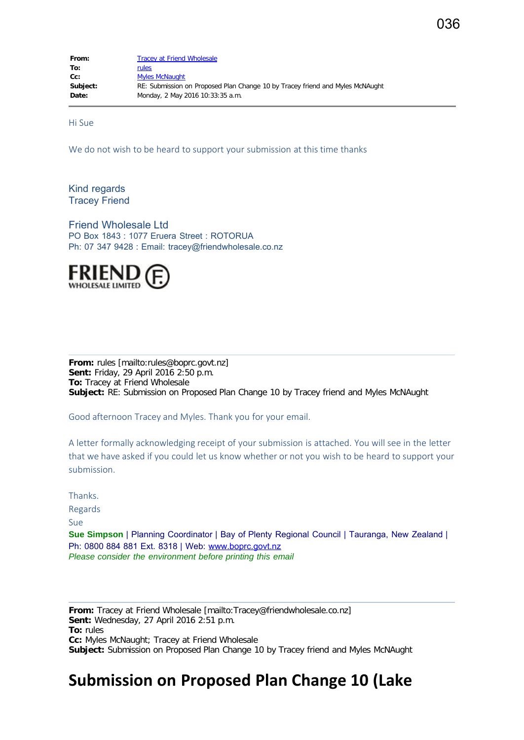| From:    | <b>Tracey at Friend Wholesale</b>                                             |
|----------|-------------------------------------------------------------------------------|
| To:      | rules                                                                         |
| cc:      | <b>Myles McNaught</b>                                                         |
| Subject: | RE: Submission on Proposed Plan Change 10 by Tracey friend and Myles McNAught |
| Date:    | Monday, 2 May 2016 10:33:35 a.m.                                              |

Hi Sue

We do not wish to be heard to support your submission at this time thanks

Kind regards Tracey Friend

Friend Wholesale Ltd PO Box 1843 : 1077 Eruera Street : ROTORUA Ph: 07 347 9428 : Email: tracey@friendwholesale.co.nz



**From:** rules [mailto:rules@boprc.govt.nz] **Sent:** Friday, 29 April 2016 2:50 p.m. **To:** Tracey at Friend Wholesale **Subject:** RE: Submission on Proposed Plan Change 10 by Tracey friend and Myles McNAught

Good afternoon Tracey and Myles. Thank you for your email.

A letter formally acknowledging receipt of your submission is attached. You will see in the letter that we have asked if you could let us know whether or not you wish to be heard to support your submission.

Thanks.

Regards

Sue

**Sue Simpson** | Planning Coordinator | Bay of Plenty Regional Council | Tauranga, New Zealand | Ph: 0800 884 881 Ext. 8318 | Web: [www.boprc.govt.nz](http://www.boprc.govt.nz/) *Please consider the environment before printing this email*

**From:** Tracey at Friend Wholesale [mailto:Tracey@friendwholesale.co.nz] **Sent:** Wednesday, 27 April 2016 2:51 p.m. **To:** rules **Cc:** Myles McNaught; Tracey at Friend Wholesale **Subject:** Submission on Proposed Plan Change 10 by Tracey friend and Myles McNAught

### **Submission on Proposed Plan Change 10 (Lake**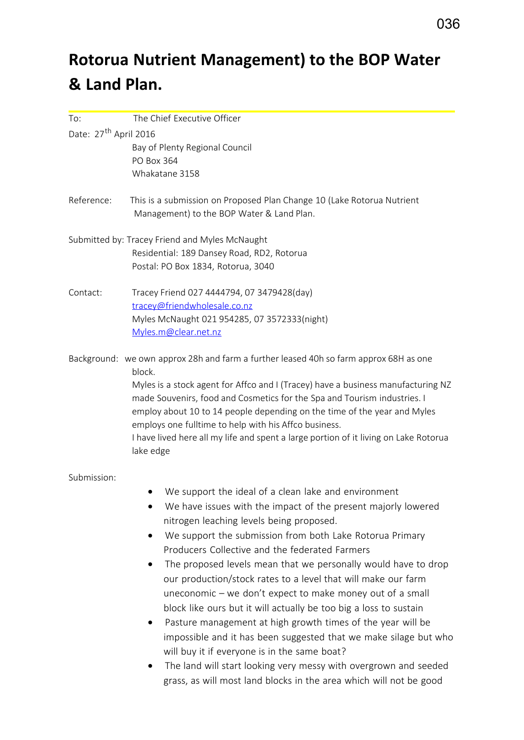# **Rotorua Nutrient Management) to the BOP Water & Land Plan.**

| To:                               | The Chief Executive Officer                                                                                                                                                                                                                                                                       |
|-----------------------------------|---------------------------------------------------------------------------------------------------------------------------------------------------------------------------------------------------------------------------------------------------------------------------------------------------|
| Date: 27 <sup>th</sup> April 2016 |                                                                                                                                                                                                                                                                                                   |
|                                   | Bay of Plenty Regional Council                                                                                                                                                                                                                                                                    |
|                                   | PO Box 364                                                                                                                                                                                                                                                                                        |
|                                   | Whakatane 3158                                                                                                                                                                                                                                                                                    |
| Reference:                        | This is a submission on Proposed Plan Change 10 (Lake Rotorua Nutrient                                                                                                                                                                                                                            |
|                                   | Management) to the BOP Water & Land Plan.                                                                                                                                                                                                                                                         |
|                                   | Submitted by: Tracey Friend and Myles McNaught                                                                                                                                                                                                                                                    |
|                                   | Residential: 189 Dansey Road, RD2, Rotorua                                                                                                                                                                                                                                                        |
|                                   | Postal: PO Box 1834, Rotorua, 3040                                                                                                                                                                                                                                                                |
| Contact:                          | Tracey Friend 027 4444794, 07 3479428(day)                                                                                                                                                                                                                                                        |
|                                   | tracey@friendwholesale.co.nz                                                                                                                                                                                                                                                                      |
|                                   | Myles McNaught 021 954285, 07 3572333(night)                                                                                                                                                                                                                                                      |
|                                   | Myles.m@clear.net.nz                                                                                                                                                                                                                                                                              |
|                                   | Background: we own approx 28h and farm a further leased 40h so farm approx 68H as one<br>block.                                                                                                                                                                                                   |
|                                   | Myles is a stock agent for Affco and I (Tracey) have a business manufacturing NZ<br>made Souvenirs, food and Cosmetics for the Spa and Tourism industries. I<br>employ about 10 to 14 people depending on the time of the year and Myles<br>employs one fulltime to help with his Affco business. |
|                                   | I have lived here all my life and spent a large portion of it living on Lake Rotorua<br>lake edge                                                                                                                                                                                                 |
| Submission:                       |                                                                                                                                                                                                                                                                                                   |
|                                   | We support the ideal of a clean lake and environment                                                                                                                                                                                                                                              |
|                                   | We have issues with the impact of the present majorly lowered<br>nitrogen leaching levels being proposed.                                                                                                                                                                                         |
|                                   | We support the submission from both Lake Rotorua Primary<br>$\bullet$<br>Producers Collective and the federated Farmers                                                                                                                                                                           |
|                                   | The proposed levels mean that we personally would have to drop                                                                                                                                                                                                                                    |
|                                   | our production/stock rates to a level that will make our farm                                                                                                                                                                                                                                     |
|                                   | uneconomic - we don't expect to make money out of a small                                                                                                                                                                                                                                         |
|                                   | block like ours but it will actually be too big a loss to sustain                                                                                                                                                                                                                                 |
|                                   | Pasture management at high growth times of the year will be<br>٠                                                                                                                                                                                                                                  |
|                                   | impossible and it has been suggested that we make silage but who<br>will buy it if everyone is in the same boat?                                                                                                                                                                                  |
|                                   | The land will start looking very messy with overgrown and seeded                                                                                                                                                                                                                                  |
|                                   | grass, as will most land blocks in the area which will not be good                                                                                                                                                                                                                                |